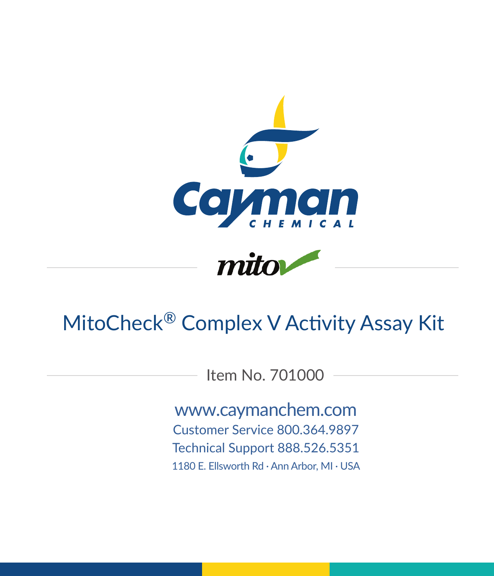



# MitoCheck® Complex V Activity Assay Kit

Item No. 701000

www.caymanchem.com Customer Service 800.364.9897 Technical Support 888.526.5351 1180 E. Ellsworth Rd · Ann Arbor, MI · USA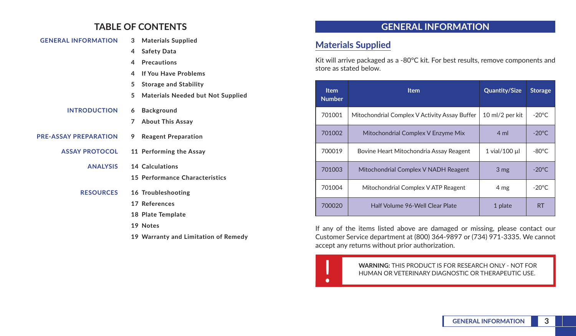# **TABLE OF CONTENTS**

| <b>GENERAL INFORMATION</b>   |   | 3 Materials Supplied                     |
|------------------------------|---|------------------------------------------|
|                              | 4 | <b>Safety Data</b>                       |
|                              | 4 | <b>Precautions</b>                       |
|                              | 4 | <b>If You Have Problems</b>              |
|                              | 5 | <b>Storage and Stability</b>             |
|                              | 5 | <b>Materials Needed but Not Supplied</b> |
| <b>INTRODUCTION</b>          | 6 | <b>Background</b>                        |
|                              | 7 | <b>About This Assay</b>                  |
| <b>PRE-ASSAY PREPARATION</b> | 9 | <b>Reagent Preparation</b>               |
| <b>ASSAY PROTOCOL</b>        |   | 11 Performing the Assay                  |
| <b>ANALYSIS</b>              |   | 14 Calculations                          |
|                              |   | 15 Performance Characteristics           |
| <b>RESOURCES</b>             |   | 16 Troubleshooting                       |
|                              |   | 17 References                            |
|                              |   | 18 Plate Template                        |
|                              |   | 19 Notes                                 |
|                              |   | 19 Warranty and Limitation of Remedy     |

# **GENERAL INFORMATION**

### **Materials Supplied**

Kit will arrive packaged as a -80°C kit. For best results, remove components and store as stated below.

| <b>Item</b><br><b>Number</b> | <b>Item</b>                                   | <b>Quantity/Size</b> | <b>Storage</b>  |
|------------------------------|-----------------------------------------------|----------------------|-----------------|
| 701001                       | Mitochondrial Complex V Activity Assay Buffer | 10 ml/2 per kit      | $-20^{\circ}$ C |
| 701002                       | Mitochondrial Complex V Enzyme Mix            | 4 ml                 | $-20^{\circ}$ C |
| 700019                       | Bovine Heart Mitochondria Assay Reagent       | 1 vial/100 µl        | $-80^{\circ}$ C |
| 701003                       | Mitochondrial Complex V NADH Reagent          | 3 <sub>mg</sub>      | $-20^{\circ}$ C |
| 701004                       | Mitochondrial Complex V ATP Reagent           | 4 mg                 | $-20^{\circ}$ C |
| 700020                       | Half Volume 96-Well Clear Plate               | 1 plate              | <b>RT</b>       |

If any of the items listed above are damaged or missing, please contact our Customer Service department at (800) 364-9897 or (734) 971-3335. We cannot accept any returns without prior authorization.

**WARNING:** THIS PRODUCT IS FOR RESEARCH ONLY - NOT FOR HUMAN OR VETERINARY DIAGNOSTIC OR THERAPEUTIC USE. HUMAN OR VETERINARY DIAGNOSTIC OR THERAPEUTIC USE.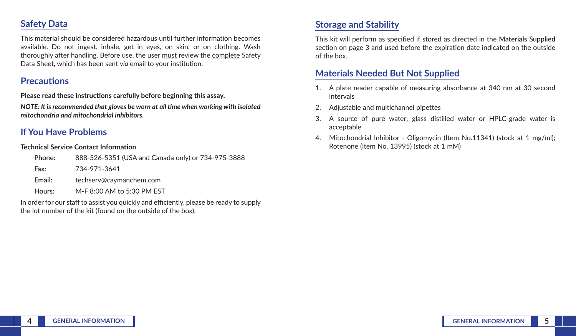# **Safety Data**

This material should be considered hazardous until further information becomes available. Do not ingest, inhale, get in eyes, on skin, or on clothing. Wash thoroughly after handling. Before use, the user must review the complete Safety Data Sheet, which has been sent *via* email to your institution.

### **Precautions**

**Please read these instructions carefully before beginning this assay.**

*NOTE: It is recommended that gloves be worn at all time when working with isolated mitochondria and mitochondrial inhibitors.*

# **If You Have Problems**

#### **Technical Service Contact Information**

| Phone: | 888-526-5351 (USA and Canada only) or 734-975-3888 |
|--------|----------------------------------------------------|
| Fax:   | 734-971-3641                                       |
| Email: | techserv@cavmanchem.com                            |
| Hours: | M-F 8:00 AM to 5:30 PM EST                         |

In order for our staff to assist you quickly and efficiently, please be ready to supply the lot number of the kit (found on the outside of the box).

# **Storage and Stability**

This kit will perform as specified if stored as directed in the **Materials Supplied** section on page 3 and used before the expiration date indicated on the outside of the box.

# **Materials Needed But Not Supplied**

- 1. A plate reader capable of measuring absorbance at 340 nm at 30 second intervals
- 2. Adjustable and multichannel pipettes
- 3. A source of pure water; glass distilled water or HPLC-grade water is acceptable
- 4. Mitochondrial Inhibitor Oligomycin (Item No.11341) (stock at 1 mg/ml); Rotenone (Item No. 13995) (stock at 1 mM)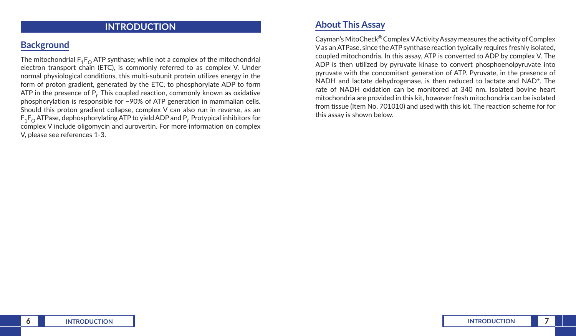### **INTRODUCTION**

### **Background**

The mitochondrial  $F_1F_0$  ATP synthase; while not a complex of the mitochondrial electron transport chain (ETC), is commonly referred to as complex V. Under normal physiological conditions, this multi-subunit protein utilizes energy in the form of proton gradient, generated by the ETC, to phosphorylate ADP to form ATP in the presence of P*<sup>i</sup>* . This coupled reaction, commonly known as oxidative phosphorylation is responsible for ~90% of ATP generation in mammalian cells. Should this proton gradient collapse, complex V can also run in reverse, as an  $\mathsf{F_1F_O}$  ATPase, dephosphorylating ATP to yield ADP and P<sub>i</sub>. Protypical inhibitors for complex V include oligomycin and aurovertin. For more information on complex V, please see references 1-3.

### **About This Assay**

Cayman's MitoCheck® Complex V Activity Assay measures the activity of Complex V as an ATPase, since the ATP synthase reaction typically requires freshly isolated, coupled mitochondria. In this assay, ATP is converted to ADP by complex V. The ADP is then utilized by pyruvate kinase to convert phosphoenolpyruvate into pyruvate with the concomitant generation of ATP. Pyruvate, in the presence of NADH and lactate dehydrogenase, is then reduced to lactate and NAD<sup>+</sup>. The rate of NADH oxidation can be monitored at 340 nm. Isolated bovine heart mitochondria are provided in this kit, however fresh mitochondria can be isolated from tissue (Item No. 701010) and used with this kit. The reaction scheme for for this assay is shown below.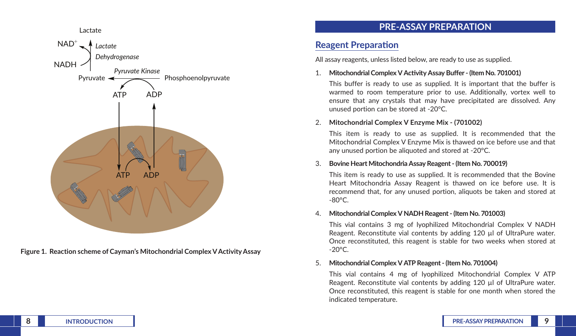

**Figure 1. Reaction scheme of Cayman's Mitochondrial Complex V Activity Assay** 

# **PRE-ASSAY PREPARATION**

# **Reagent Preparation**

All assay reagents, unless listed below, are ready to use as supplied.

#### 1. **Mitochondrial Complex V Activity Assay Buffer - (Item No. 701001)**

This buffer is ready to use as supplied. It is important that the buffer is warmed to room temperature prior to use. Additionally, vortex well to ensure that any crystals that may have precipitated are dissolved. Any unused portion can be stored at -20°C.

### 2. **Mitochondrial Complex V Enzyme Mix - (701002)**

This item is ready to use as supplied. It is recommended that the Mitochondrial Complex V Enzyme Mix is thawed on ice before use and that any unused portion be aliquoted and stored at -20°C.

#### 3. **Bovine Heart Mitochondria Assay Reagent - (Item No. 700019)**

This item is ready to use as supplied. It is recommended that the Bovine Heart Mitochondria Assay Reagent is thawed on ice before use. It is recommend that, for any unused portion, aliquots be taken and stored at -80°C.

#### 4. **Mitochondrial Complex V NADH Reagent - (Item No. 701003)**

This vial contains 3 mg of lyophilized Mitochondrial Complex V NADH Reagent. Reconstitute vial contents by adding 120 µl of UltraPure water. Once reconstituted, this reagent is stable for two weeks when stored at  $-20^{\circ}$ C.

#### 5. **Mitochondrial Complex V ATP Reagent - (Item No. 701004)**

This vial contains 4 mg of lyophilized Mitochondrial Complex V ATP Reagent. Reconstitute vial contents by adding 120 µl of UltraPure water. Once reconstituted, this reagent is stable for one month when stored the indicated temperature.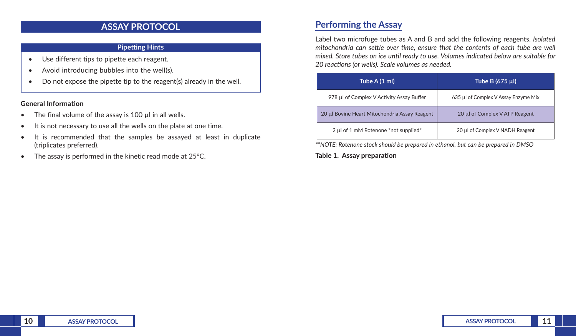### **ASSAY PROTOCOL**

#### **Pipetting Hints**

- Use different tips to pipette each reagent.
- Avoid introducing bubbles into the well(s).
- Do not expose the pipette tip to the reagent(s) already in the well.

#### **General Information**

- The final volume of the assay is  $100 \mu$  in all wells.
- It is not necessary to use all the wells on the plate at one time.
- It is recommended that the samples be assayed at least in duplicate (triplicates preferred).
- The assay is performed in the kinetic read mode at 25°C.

# **Performing the Assay**

Label two microfuge tubes as A and B and add the following reagents. *Isolated mitochondria can settle over time, ensure that the contents of each tube are well mixed. Store tubes on ice until ready to use. Volumes indicated below are suitable for 20 reactions (or wells). Scale volumes as needed.*

| Tube A (1 ml)                                 | Tube B (675 µl)                      |  |
|-----------------------------------------------|--------------------------------------|--|
| 978 µl of Complex V Activity Assay Buffer     | 635 µl of Complex V Assay Enzyme Mix |  |
| 20 µl Bovine Heart Mitochondria Assay Reagent | 20 µl of Complex V ATP Reagent       |  |
| 2 µl of 1 mM Rotenone *not supplied*          | 20 µl of Complex V NADH Reagent      |  |

*\*\*NOTE: Rotenone stock should be prepared in ethanol, but can be prepared in DMSO*

**Table 1. Assay preparation**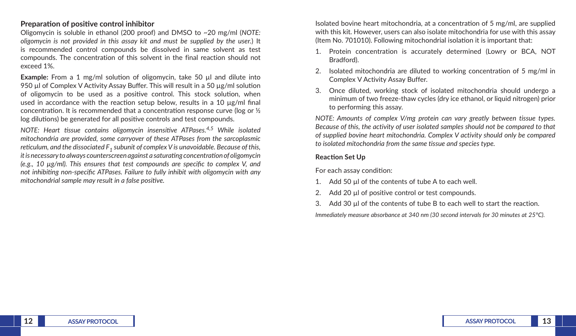#### **Preparation of positive control inhibitor**

Oligomycin is soluble in ethanol (200 proof) and DMSO to ~20 mg/ml (*NOTE: oligomycin is not provided in this assay kit and must be supplied by the user.*) It is recommended control compounds be dissolved in same solvent as test compounds. The concentration of this solvent in the final reaction should not exceed 1%.

**Example:** From a 1 mg/ml solution of oligomycin, take 50 µl and dilute into 950 µl of Complex V Activity Assay Buffer. This will result in a 50 µg/ml solution of oligomycin to be used as a positive control. This stock solution, when used in accordance with the reaction setup below, results in a 10 µg/ml final concentration. It is recommended that a concentration response curve (log or ½ log dilutions) be generated for all positive controls and test compounds.

*NOTE: Heart tissue contains oligomycin insensitive ATPases.4,5 While isolated mitochondria are provided, some carryover of these ATPases from the sarcoplasmic reticulum, and the dissociated F1 subunit of complex V is unavoidable. Because of this, it is necessary to always counterscreen against a saturating concentration of oligomycin (e.g., 10 µg/ml). This ensures that test compounds are specific to complex V, and not inhibiting non-specific ATPases. Failure to fully inhibit with oligomycin with any mitochondrial sample may result in a false positive.*

Isolated bovine heart mitochondria, at a concentration of 5 mg/ml, are supplied with this kit. However, users can also isolate mitochondria for use with this assay (Item No. 701010). Following mitochondrial isolation it is important that:

- 1. Protein concentration is accurately determined (Lowry or BCA, NOT Bradford).
- 2. Isolated mitochondria are diluted to working concentration of 5 mg/ml in Complex V Activity Assay Buffer.
- 3. Once diluted, working stock of isolated mitochondria should undergo a minimum of two freeze-thaw cycles (dry ice ethanol, or liquid nitrogen) prior to performing this assay.

*NOTE: Amounts of complex V/mg protein can vary greatly between tissue types. Because of this, the activity of user isolated samples should not be compared to that of supplied bovine heart mitochondria. Complex V activity should only be compared to isolated mitochondria from the same tissue and species type.*

#### **Reaction Set Up**

For each assay condition:

- 1. Add 50 µl of the contents of tube A to each well.
- 2. Add 20 µl of positive control or test compounds.
- Add 30 µ of the contents of tube B to each well to start the reaction.

*Immediately measure absorbance at 340 nm (30 second intervals for 30 minutes at 25°C).*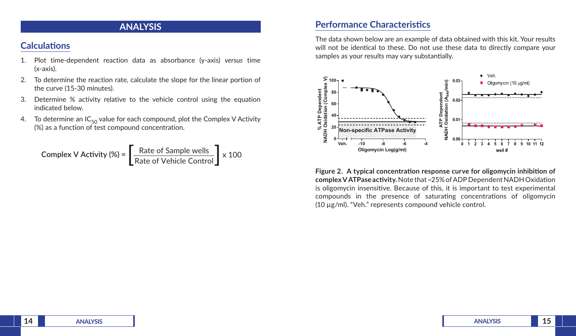### **ANALYSIS**

## **Calculations**

- 1. Plot time-dependent reaction data as absorbance (y-axis) *versus* time (x-axis).
- 2. To determine the reaction rate, calculate the slope for the linear portion of the curve (15-30 minutes).
- 3. Determine % activity relative to the vehicle control using the equation indicated below.
- 4. To determine an  $IC_{50}$  value for each compound, plot the Complex V Activity (%) as a function of test compound concentration.

Complex V Activity (%) = 
$$
\left[\frac{\text{Rate of Sample wells}}{\text{Rate of Vehicle Control}}\right] \times 100
$$

### **Performance Characteristics**

The data shown below are an example of data obtained with this kit. Your results will not be identical to these. Do not use these data to directly compare your samples as your results may vary substantially.



**Figure 2. A typical concentration response curve for oligomycin inhibition of complex V ATPase activity.** Note that ~25% of ADP Dependent NADH Oxidation is oligomycin insensitive. Because of this, it is important to test experimental compounds in the presence of saturating concentrations of oligomycin (10 µg/ml). "Veh." represents compound vehicle control.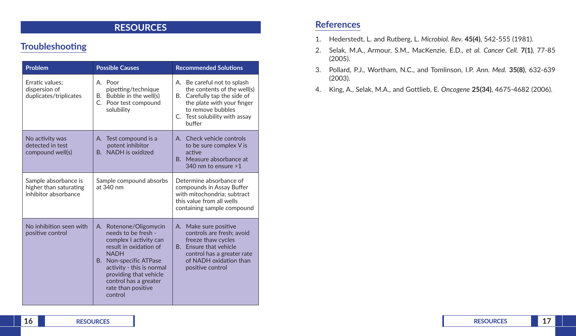# **RESOURCES**

# **Troubleshooting**

| Problem                                                                | <b>Possible Causes</b>                                                                                                                                                                                                                                         | <b>Recommended Solutions</b>                                                                                                                                                                |  |
|------------------------------------------------------------------------|----------------------------------------------------------------------------------------------------------------------------------------------------------------------------------------------------------------------------------------------------------------|---------------------------------------------------------------------------------------------------------------------------------------------------------------------------------------------|--|
| Erratic values:<br>dispersion of<br>duplicates/triplicates             | A. Poor<br>pipetting/technique<br>B. Bubble in the well(s)<br>C. Poor test compound<br>solubility                                                                                                                                                              | A. Be careful not to splash<br>the contents of the well(s)<br>B. Carefully tap the side of<br>the plate with your finger<br>to remove bubbles<br>C. Test solubility with assay<br>buffer    |  |
| No activity was<br>detected in test<br>compound well(s)                | A. Test compound is a<br>potent inhibitor<br>NADH is oxidized<br>$\mathsf{R}$                                                                                                                                                                                  | A. Check vehicle controls<br>to be sure complex V is<br>active<br>B. Measure absorbance at<br>340 nm to ensure >1                                                                           |  |
| Sample absorbance is<br>higher than saturating<br>inhibitor absorbance | Sample compound absorbs<br>at 340 nm                                                                                                                                                                                                                           | Determine absorbance of<br>compounds in Assay Buffer<br>with mitochondria; subtract<br>this value from all wells<br>containing sample compound                                              |  |
| No inhibition seen with<br>positive control                            | Rotenone/Oligomycin<br>A.<br>needs to be fresh -<br>complex I activity can<br>result in oxidation of<br><b>NADH</b><br>B. Non-specific ATPase<br>activity - this is normal<br>providing that vehicle<br>control has a greater<br>rate than positive<br>control | A. Make sure positive<br>controls are fresh; avoid<br>freeze thaw cycles<br><b>Fnsure that vehicle</b><br>$B -$<br>control has a greater rate<br>of NADH oxidation than<br>positive control |  |

# **References**

- 1. Hederstedt, L. and Rutberg, L. *Microbiol. Rev.* **45(4)**, 542-555 (1981).
- 2. Selak, M.A., Armour, S.M., MacKenzie, E.D., *et al. Cancer Cell.* **7(1)**, 77-85 (2005).
- 3. Pollard, P.J., Wortham, N.C., and Tomlinson, I.P. *Ann. Med.* **35(8)**, 632-639 (2003).
- 4. King, A., Selak, M.A., and Gottlieb, E. *Oncogene* **25(34)**, 4675-4682 (2006).